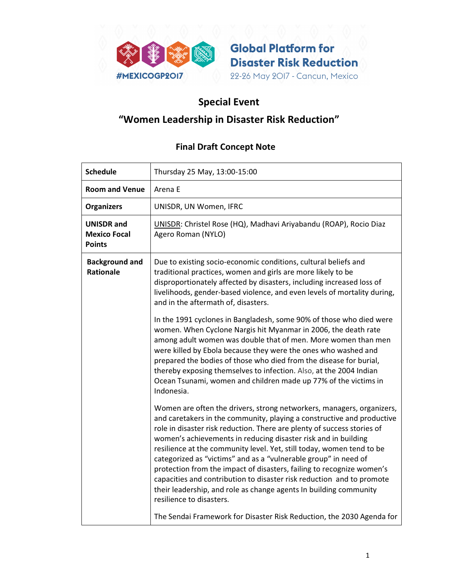

**Global Platform for Disaster Risk Reduction** 22-26 May 2017 - Cancun, Mexico

## Special Event

## "Women Leadership in Disaster Risk Reduction"

## Final Draft Concept Note

| <b>Schedule</b>                                           | Thursday 25 May, 13:00-15:00                                                                                                                                                                                                                                                                                                                                                                                                                                                                                                                                                                                                                                                                |
|-----------------------------------------------------------|---------------------------------------------------------------------------------------------------------------------------------------------------------------------------------------------------------------------------------------------------------------------------------------------------------------------------------------------------------------------------------------------------------------------------------------------------------------------------------------------------------------------------------------------------------------------------------------------------------------------------------------------------------------------------------------------|
| <b>Room and Venue</b>                                     | Arena E                                                                                                                                                                                                                                                                                                                                                                                                                                                                                                                                                                                                                                                                                     |
| <b>Organizers</b>                                         | UNISDR, UN Women, IFRC                                                                                                                                                                                                                                                                                                                                                                                                                                                                                                                                                                                                                                                                      |
| <b>UNISDR</b> and<br><b>Mexico Focal</b><br><b>Points</b> | UNISDR: Christel Rose (HQ), Madhavi Ariyabandu (ROAP), Rocio Diaz<br>Agero Roman (NYLO)                                                                                                                                                                                                                                                                                                                                                                                                                                                                                                                                                                                                     |
| <b>Background and</b><br><b>Rationale</b>                 | Due to existing socio-economic conditions, cultural beliefs and<br>traditional practices, women and girls are more likely to be<br>disproportionately affected by disasters, including increased loss of<br>livelihoods, gender-based violence, and even levels of mortality during,<br>and in the aftermath of, disasters.                                                                                                                                                                                                                                                                                                                                                                 |
|                                                           | In the 1991 cyclones in Bangladesh, some 90% of those who died were<br>women. When Cyclone Nargis hit Myanmar in 2006, the death rate<br>among adult women was double that of men. More women than men<br>were killed by Ebola because they were the ones who washed and<br>prepared the bodies of those who died from the disease for burial,<br>thereby exposing themselves to infection. Also, at the 2004 Indian<br>Ocean Tsunami, women and children made up 77% of the victims in<br>Indonesia.                                                                                                                                                                                       |
|                                                           | Women are often the drivers, strong networkers, managers, organizers,<br>and caretakers in the community, playing a constructive and productive<br>role in disaster risk reduction. There are plenty of success stories of<br>women's achievements in reducing disaster risk and in building<br>resilience at the community level. Yet, still today, women tend to be<br>categorized as "victims" and as a "vulnerable group" in need of<br>protection from the impact of disasters, failing to recognize women's<br>capacities and contribution to disaster risk reduction and to promote<br>their leadership, and role as change agents In building community<br>resilience to disasters. |
|                                                           | The Sendai Framework for Disaster Risk Reduction, the 2030 Agenda for                                                                                                                                                                                                                                                                                                                                                                                                                                                                                                                                                                                                                       |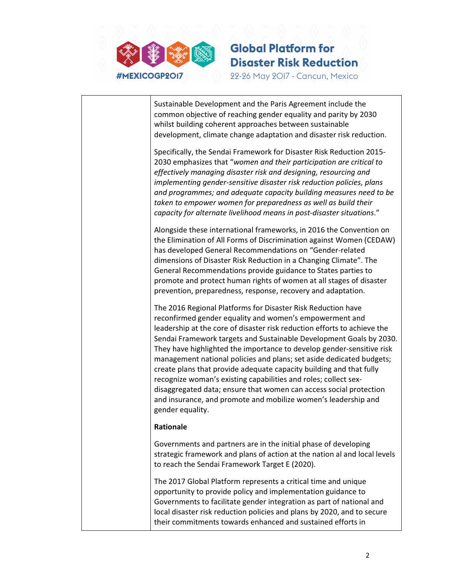

Sustainable Development and the Paris Agreement include the common objective of reaching gender equality and parity by 2030 whilst building coherent approaches between sustainable development, climate change adaptation and disaster risk reduction. Specifically, the Sendai Framework for Disaster Risk Reduction 2015- 2030 emphasizes that "women and their participation are critical to effectively managing disaster risk and designing, resourcing and implementing gender-sensitive disaster risk reduction policies, plans and programmes; and adequate capacity building measures need to be taken to empower women for preparedness as well as build their capacity for alternate livelihood means in post-disaster situations." Alongside these international frameworks, in 2016 the Convention on the Elimination of All Forms of Discrimination against Women (CEDAW) has developed General Recommendations on "Gender-related dimensions of Disaster Risk Reduction in a Changing Climate". The General Recommendations provide guidance to States parties to promote and protect human rights of women at all stages of disaster prevention, preparedness, response, recovery and adaptation. The 2016 Regional Platforms for Disaster Risk Reduction have reconfirmed gender equality and women's empowerment and leadership at the core of disaster risk reduction efforts to achieve the Sendai Framework targets and Sustainable Development Goals by 2030. They have highlighted the importance to develop gender-sensitive risk management national policies and plans; set aside dedicated budgets; create plans that provide adequate capacity building and that fully recognize woman's existing capabilities and roles; collect sexdisaggregated data; ensure that women can access social protection and insurance, and promote and mobilize women's leadership and gender equality. Rationale Governments and partners are in the initial phase of developing strategic framework and plans of action at the nation al and local levels to reach the Sendai Framework Target E (2020). The 2017 Global Platform represents a critical time and unique opportunity to provide policy and implementation guidance to Governments to facilitate gender integration as part of national and local disaster risk reduction policies and plans by 2020, and to secure their commitments towards enhanced and sustained efforts in

**Global Platform for** 

**Disaster Risk Reduction** 

22-26 May 2017 - Cancun, Mexico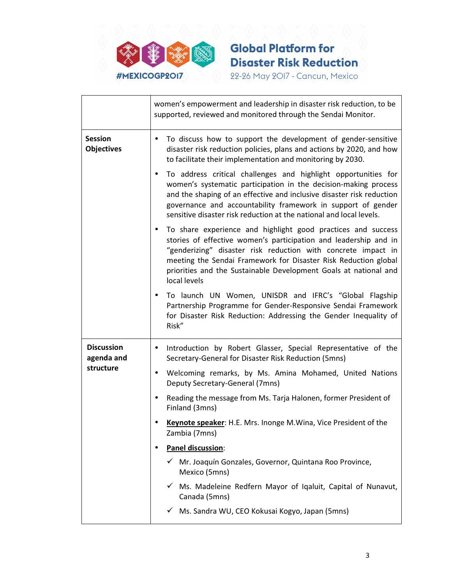

|                                              | women's empowerment and leadership in disaster risk reduction, to be<br>supported, reviewed and monitored through the Sendai Monitor.                                                                                                                                                                                                                          |
|----------------------------------------------|----------------------------------------------------------------------------------------------------------------------------------------------------------------------------------------------------------------------------------------------------------------------------------------------------------------------------------------------------------------|
| <b>Session</b><br><b>Objectives</b>          | To discuss how to support the development of gender-sensitive<br>$\bullet$<br>disaster risk reduction policies, plans and actions by 2020, and how<br>to facilitate their implementation and monitoring by 2030.                                                                                                                                               |
|                                              | To address critical challenges and highlight opportunities for<br>$\bullet$<br>women's systematic participation in the decision-making process<br>and the shaping of an effective and inclusive disaster risk reduction<br>governance and accountability framework in support of gender<br>sensitive disaster risk reduction at the national and local levels. |
|                                              | To share experience and highlight good practices and success<br>٠<br>stories of effective women's participation and leadership and in<br>"genderizing" disaster risk reduction with concrete impact in<br>meeting the Sendai Framework for Disaster Risk Reduction global<br>priorities and the Sustainable Development Goals at national and<br>local levels  |
|                                              | To launch UN Women, UNISDR and IFRC's "Global Flagship<br>Partnership Programme for Gender-Responsive Sendai Framework<br>for Disaster Risk Reduction: Addressing the Gender Inequality of<br>Risk"                                                                                                                                                            |
| <b>Discussion</b><br>agenda and<br>structure | Introduction by Robert Glasser, Special Representative of the<br>$\bullet$<br>Secretary-General for Disaster Risk Reduction (5mns)                                                                                                                                                                                                                             |
|                                              | Welcoming remarks, by Ms. Amina Mohamed, United Nations<br>Deputy Secretary-General (7mns)                                                                                                                                                                                                                                                                     |
|                                              | Reading the message from Ms. Tarja Halonen, former President of<br>Finland (3mns)                                                                                                                                                                                                                                                                              |
|                                              | Keynote speaker: H.E. Mrs. Inonge M. Wina, Vice President of the<br>Zambia (7mns)                                                                                                                                                                                                                                                                              |
|                                              | Panel discussion:                                                                                                                                                                                                                                                                                                                                              |
|                                              | Mr. Joaquín Gonzales, Governor, Quintana Roo Province,<br>Mexico (5mns)                                                                                                                                                                                                                                                                                        |
|                                              | Ms. Madeleine Redfern Mayor of Iqaluit, Capital of Nunavut,<br>Canada (5mns)                                                                                                                                                                                                                                                                                   |
|                                              | Ms. Sandra WU, CEO Kokusai Kogyo, Japan (5mns)                                                                                                                                                                                                                                                                                                                 |

**Global Platform for** 

**Disaster Risk Reduction** 22-26 May 2017 - Cancun, Mexico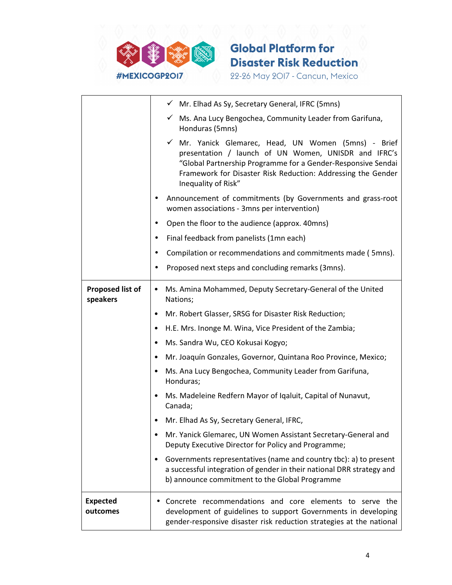

|                                     | √ Mr. Elhad As Sy, Secretary General, IFRC (5mns)                                                                                                                                                                                                                   |
|-------------------------------------|---------------------------------------------------------------------------------------------------------------------------------------------------------------------------------------------------------------------------------------------------------------------|
|                                     | ✓ Ms. Ana Lucy Bengochea, Community Leader from Garifuna,<br>Honduras (5mns)                                                                                                                                                                                        |
|                                     | √ Mr. Yanick Glemarec, Head, UN Women (5mns) - Brief<br>presentation / launch of UN Women, UNISDR and IFRC's<br>"Global Partnership Programme for a Gender-Responsive Sendai<br>Framework for Disaster Risk Reduction: Addressing the Gender<br>Inequality of Risk" |
|                                     | Announcement of commitments (by Governments and grass-root<br>women associations - 3mns per intervention)                                                                                                                                                           |
|                                     | Open the floor to the audience (approx. 40mns)<br>٠                                                                                                                                                                                                                 |
|                                     | Final feedback from panelists (1mn each)<br>٠                                                                                                                                                                                                                       |
|                                     | Compilation or recommendations and commitments made (5mns).<br>٠                                                                                                                                                                                                    |
|                                     | Proposed next steps and concluding remarks (3mns).                                                                                                                                                                                                                  |
| <b>Proposed list of</b><br>speakers | Ms. Amina Mohammed, Deputy Secretary-General of the United<br>$\bullet$<br>Nations;                                                                                                                                                                                 |
|                                     | Mr. Robert Glasser, SRSG for Disaster Risk Reduction;<br>$\bullet$                                                                                                                                                                                                  |
|                                     | H.E. Mrs. Inonge M. Wina, Vice President of the Zambia;<br>$\bullet$                                                                                                                                                                                                |
|                                     | Ms. Sandra Wu, CEO Kokusai Kogyo;<br>٠                                                                                                                                                                                                                              |
|                                     | Mr. Joaquín Gonzales, Governor, Quintana Roo Province, Mexico;<br>$\bullet$                                                                                                                                                                                         |
|                                     | Ms. Ana Lucy Bengochea, Community Leader from Garifuna,<br>$\bullet$<br>Honduras;                                                                                                                                                                                   |
|                                     | Ms. Madeleine Redfern Mayor of Iqaluit, Capital of Nunavut,<br>٠<br>Canada;                                                                                                                                                                                         |
|                                     | Mr. Elhad As Sy, Secretary General, IFRC,                                                                                                                                                                                                                           |
|                                     | Mr. Yanick Glemarec, UN Women Assistant Secretary-General and<br>٠<br>Deputy Executive Director for Policy and Programme;                                                                                                                                           |
|                                     | Governments representatives (name and country tbc): a) to present<br>$\bullet$<br>a successful integration of gender in their national DRR strategy and<br>b) announce commitment to the Global Programme                                                           |
|                                     |                                                                                                                                                                                                                                                                     |

**Global Platform for** 

**Disaster Risk Reduction** 22-26 May 2017 - Cancun, Mexico